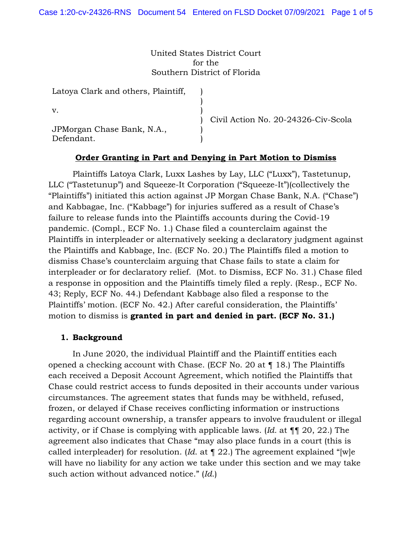United States District Court for the Southern District of Florida

> ) ) ) ) ) )

Latoya Clark and others, Plaintiff,

v.

JPMorgan Chase Bank, N.A., Defendant.

Civil Action No. 20-24326-Civ-Scola

# **Order Granting in Part and Denying in Part Motion to Dismiss**

 Plaintiffs Latoya Clark, Luxx Lashes by Lay, LLC ("Luxx"), Tastetunup, LLC ("Tastetunup") and Squeeze-It Corporation ("Squeeze-It")(collectively the "Plaintiffs") initiated this action against JP Morgan Chase Bank, N.A. ("Chase") and Kabbagae, Inc. ("Kabbage") for injuries suffered as a result of Chase's failure to release funds into the Plaintiffs accounts during the Covid-19 pandemic. (Compl., ECF No. 1.) Chase filed a counterclaim against the Plaintiffs in interpleader or alternatively seeking a declaratory judgment against the Plaintiffs and Kabbage, Inc. (ECF No. 20.) The Plaintiffs filed a motion to dismiss Chase's counterclaim arguing that Chase fails to state a claim for interpleader or for declaratory relief. (Mot. to Dismiss, ECF No. 31.) Chase filed a response in opposition and the Plaintiffs timely filed a reply. (Resp., ECF No. 43; Reply, ECF No. 44.) Defendant Kabbage also filed a response to the Plaintiffs' motion. (ECF No. 42.) After careful consideration, the Plaintiffs' motion to dismiss is **granted in part and denied in part. (ECF No. 31.)**

### **1. Background**

 In June 2020, the individual Plaintiff and the Plaintiff entities each opened a checking account with Chase. (ECF No. 20 at ¶ 18.) The Plaintiffs each received a Deposit Account Agreement, which notified the Plaintiffs that Chase could restrict access to funds deposited in their accounts under various circumstances. The agreement states that funds may be withheld, refused, frozen, or delayed if Chase receives conflicting information or instructions regarding account ownership, a transfer appears to involve fraudulent or illegal activity, or if Chase is complying with applicable laws. (*Id.* at ¶¶ 20, 22.) The agreement also indicates that Chase "may also place funds in a court (this is called interpleader) for resolution. (*Id*. at ¶ 22.) The agreement explained "[w]e will have no liability for any action we take under this section and we may take such action without advanced notice." (*Id*.)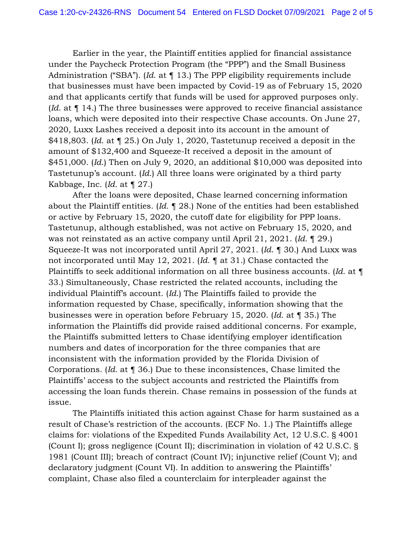Earlier in the year, the Plaintiff entities applied for financial assistance under the Paycheck Protection Program (the "PPP") and the Small Business Administration ("SBA"). (*Id*. at ¶ 13.) The PPP eligibility requirements include that businesses must have been impacted by Covid-19 as of February 15, 2020 and that applicants certify that funds will be used for approved purposes only. (*Id*. at ¶ 14.) The three businesses were approved to receive financial assistance loans, which were deposited into their respective Chase accounts. On June 27, 2020, Luxx Lashes received a deposit into its account in the amount of \$418,803. (*Id*. at ¶ 25.) On July 1, 2020, Tastetunup received a deposit in the amount of \$132,400 and Squeeze-It received a deposit in the amount of \$451,000. (*Id*.) Then on July 9, 2020, an additional \$10,000 was deposited into Tastetunup's account. (*Id*.) All three loans were originated by a third party Kabbage, Inc. (*Id.* at ¶ 27.)

 After the loans were deposited, Chase learned concerning information about the Plaintiff entities. (*Id.* ¶ 28.) None of the entities had been established or active by February 15, 2020, the cutoff date for eligibility for PPP loans. Tastetunup, although established, was not active on February 15, 2020, and was not reinstated as an active company until April 21, 2021. (*Id.* ¶ 29.) Squeeze-It was not incorporated until April 27, 2021. (*Id*. ¶ 30.) And Luxx was not incorporated until May 12, 2021. (*Id*. ¶ at 31.) Chase contacted the Plaintiffs to seek additional information on all three business accounts. (*Id*. at ¶ 33.) Simultaneously, Chase restricted the related accounts, including the individual Plaintiff's account. (*Id*.) The Plaintiffs failed to provide the information requested by Chase, specifically, information showing that the businesses were in operation before February 15, 2020. (*Id*. at ¶ 35.) The information the Plaintiffs did provide raised additional concerns. For example, the Plaintiffs submitted letters to Chase identifying employer identification numbers and dates of incorporation for the three companies that are inconsistent with the information provided by the Florida Division of Corporations. (*Id.* at ¶ 36.) Due to these inconsistences, Chase limited the Plaintiffs' access to the subject accounts and restricted the Plaintiffs from accessing the loan funds therein. Chase remains in possession of the funds at issue.

 The Plaintiffs initiated this action against Chase for harm sustained as a result of Chase's restriction of the accounts. (ECF No. 1.) The Plaintiffs allege claims for: violations of the Expedited Funds Availability Act, 12 U.S.C. § 4001 (Count I); gross negligence (Count II); discrimination in violation of 42 U.S.C. § 1981 (Count III); breach of contract (Count IV); injunctive relief (Count V); and declaratory judgment (Count VI). In addition to answering the Plaintiffs' complaint, Chase also filed a counterclaim for interpleader against the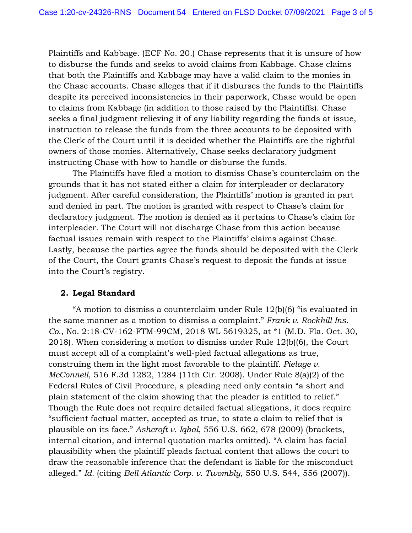Plaintiffs and Kabbage. (ECF No. 20.) Chase represents that it is unsure of how to disburse the funds and seeks to avoid claims from Kabbage. Chase claims that both the Plaintiffs and Kabbage may have a valid claim to the monies in the Chase accounts. Chase alleges that if it disburses the funds to the Plaintiffs despite its perceived inconsistencies in their paperwork, Chase would be open to claims from Kabbage (in addition to those raised by the Plaintiffs). Chase seeks a final judgment relieving it of any liability regarding the funds at issue, instruction to release the funds from the three accounts to be deposited with the Clerk of the Court until it is decided whether the Plaintiffs are the rightful owners of those monies. Alternatively, Chase seeks declaratory judgment instructing Chase with how to handle or disburse the funds.

 The Plaintiffs have filed a motion to dismiss Chase's counterclaim on the grounds that it has not stated either a claim for interpleader or declaratory judgment. After careful consideration, the Plaintiffs' motion is granted in part and denied in part. The motion is granted with respect to Chase's claim for declaratory judgment. The motion is denied as it pertains to Chase's claim for interpleader. The Court will not discharge Chase from this action because factual issues remain with respect to the Plaintiffs' claims against Chase. Lastly, because the parties agree the funds should be deposited with the Clerk of the Court, the Court grants Chase's request to deposit the funds at issue into the Court's registry.

## **2. Legal Standard**

 "A motion to dismiss a counterclaim under Rule 12(b)(6) "is evaluated in the same manner as a motion to dismiss a complaint." *Frank v. Rockhill Ins. Co.*, No. 2:18-CV-162-FTM-99CM, 2018 WL 5619325, at \*1 (M.D. Fla. Oct. 30, 2018). When considering a motion to dismiss under Rule 12(b)(6), the Court must accept all of a complaint's well-pled factual allegations as true, construing them in the light most favorable to the plaintiff. *Pielage v. McConnell*, 516 F.3d 1282, 1284 (11th Cir. 2008). Under Rule 8(a)(2) of the Federal Rules of Civil Procedure, a pleading need only contain "a short and plain statement of the claim showing that the pleader is entitled to relief." Though the Rule does not require detailed factual allegations, it does require "sufficient factual matter, accepted as true, to state a claim to relief that is plausible on its face." *Ashcroft v. Iqbal*, 556 U.S. 662, 678 (2009) (brackets, internal citation, and internal quotation marks omitted). "A claim has facial plausibility when the plaintiff pleads factual content that allows the court to draw the reasonable inference that the defendant is liable for the misconduct alleged." *Id.* (citing *Bell Atlantic Corp. v. Twombly*, 550 U.S. 544, 556 (2007)).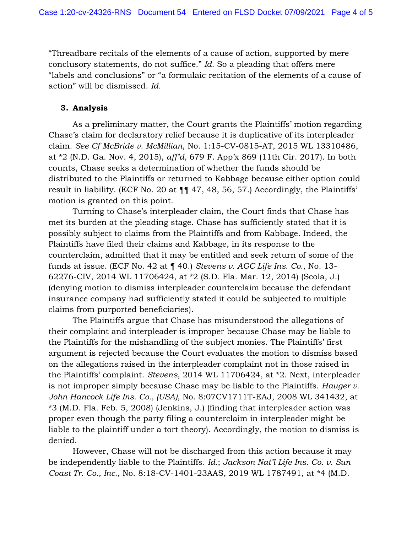"Threadbare recitals of the elements of a cause of action, supported by mere conclusory statements, do not suffice." *Id.* So a pleading that offers mere "labels and conclusions" or "a formulaic recitation of the elements of a cause of action" will be dismissed. *Id.*

# **3. Analysis**

 As a preliminary matter, the Court grants the Plaintiffs' motion regarding Chase's claim for declaratory relief because it is duplicative of its interpleader claim. *See Cf McBride v. McMillian*, No. 1:15-CV-0815-AT, 2015 WL 13310486, at \*2 (N.D. Ga. Nov. 4, 2015), *aff'd,* 679 F. App'x 869 (11th Cir. 2017). In both counts, Chase seeks a determination of whether the funds should be distributed to the Plaintiffs or returned to Kabbage because either option could result in liability. (ECF No. 20 at ¶¶ 47, 48, 56, 57.) Accordingly, the Plaintiffs' motion is granted on this point.

 Turning to Chase's interpleader claim, the Court finds that Chase has met its burden at the pleading stage. Chase has sufficiently stated that it is possibly subject to claims from the Plaintiffs and from Kabbage. Indeed, the Plaintiffs have filed their claims and Kabbage, in its response to the counterclaim, admitted that it may be entitled and seek return of some of the funds at issue. (ECF No. 42 at ¶ 40.) *Stevens v. AGC Life Ins. Co.*, No. 13- 62276-CIV, 2014 WL 11706424, at \*2 (S.D. Fla. Mar. 12, 2014) (Scola, J.) (denying motion to dismiss interpleader counterclaim because the defendant insurance company had sufficiently stated it could be subjected to multiple claims from purported beneficiaries).

 The Plaintiffs argue that Chase has misunderstood the allegations of their complaint and interpleader is improper because Chase may be liable to the Plaintiffs for the mishandling of the subject monies. The Plaintiffs' first argument is rejected because the Court evaluates the motion to dismiss based on the allegations raised in the interpleader complaint not in those raised in the Plaintiffs' complaint. *Stevens*, 2014 WL 11706424, at \*2. Next, interpleader is not improper simply because Chase may be liable to the Plaintiffs. *Hauger v. John Hancock Life Ins. Co., (USA)*, No. 8:07CV1711T-EAJ, 2008 WL 341432, at \*3 (M.D. Fla. Feb. 5, 2008) (Jenkins, J.) (finding that interpleader action was proper even though the party filing a counterclaim in interpleader might be liable to the plaintiff under a tort theory). Accordingly, the motion to dismiss is denied.

 However, Chase will not be discharged from this action because it may be independently liable to the Plaintiffs. *Id.*; *Jackson Nat'l Life Ins. Co. v. Sun Coast Tr. Co., Inc.*, No. 8:18-CV-1401-23AAS, 2019 WL 1787491, at \*4 (M.D.